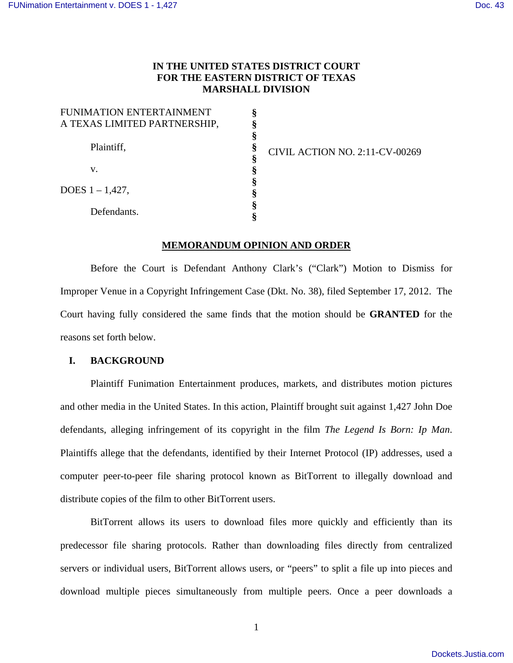# **IN THE UNITED STATES DISTRICT COURT FOR THE EASTERN DISTRICT OF TEXAS MARSHALL DIVISION**

| FUNIMATION ENTERTAINMENT     |   |
|------------------------------|---|
| A TEXAS LIMITED PARTNERSHIP, |   |
|                              |   |
| Plaintiff,                   |   |
|                              |   |
| V.                           |   |
| DOES $1 - 1,427$ ,           |   |
|                              |   |
| Defendants.                  | 8 |
|                              |   |

CIVIL ACTION NO. 2:11-CV-00269

## **MEMORANDUM OPINION AND ORDER**

Before the Court is Defendant Anthony Clark's ("Clark") Motion to Dismiss for Improper Venue in a Copyright Infringement Case (Dkt. No. 38), filed September 17, 2012. The Court having fully considered the same finds that the motion should be **GRANTED** for the reasons set forth below.

#### **I. BACKGROUND**

Plaintiff Funimation Entertainment produces, markets, and distributes motion pictures and other media in the United States. In this action, Plaintiff brought suit against 1,427 John Doe defendants, alleging infringement of its copyright in the film *The Legend Is Born: Ip Man*. Plaintiffs allege that the defendants, identified by their Internet Protocol (IP) addresses, used a computer peer-to-peer file sharing protocol known as BitTorrent to illegally download and distribute copies of the film to other BitTorrent users.

BitTorrent allows its users to download files more quickly and efficiently than its predecessor file sharing protocols. Rather than downloading files directly from centralized servers or individual users, BitTorrent allows users, or "peers" to split a file up into pieces and download multiple pieces simultaneously from multiple peers. Once a peer downloads a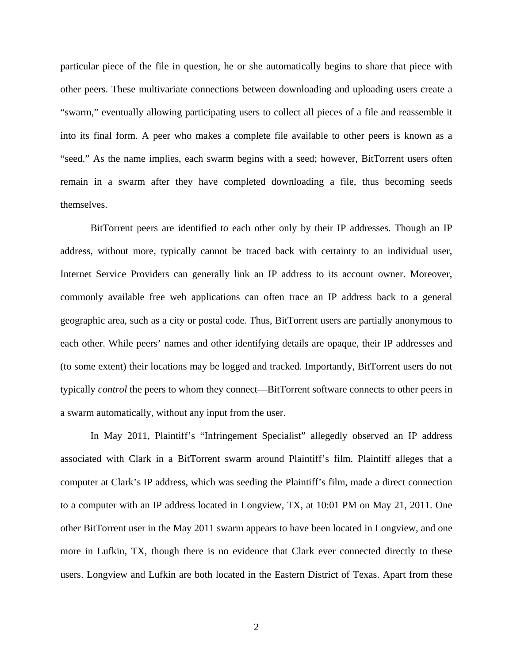particular piece of the file in question, he or she automatically begins to share that piece with other peers. These multivariate connections between downloading and uploading users create a "swarm," eventually allowing participating users to collect all pieces of a file and reassemble it into its final form. A peer who makes a complete file available to other peers is known as a "seed." As the name implies, each swarm begins with a seed; however, BitTorrent users often remain in a swarm after they have completed downloading a file, thus becoming seeds themselves.

BitTorrent peers are identified to each other only by their IP addresses. Though an IP address, without more, typically cannot be traced back with certainty to an individual user, Internet Service Providers can generally link an IP address to its account owner. Moreover, commonly available free web applications can often trace an IP address back to a general geographic area, such as a city or postal code. Thus, BitTorrent users are partially anonymous to each other. While peers' names and other identifying details are opaque, their IP addresses and (to some extent) their locations may be logged and tracked. Importantly, BitTorrent users do not typically *control* the peers to whom they connect—BitTorrent software connects to other peers in a swarm automatically, without any input from the user.

In May 2011, Plaintiff's "Infringement Specialist" allegedly observed an IP address associated with Clark in a BitTorrent swarm around Plaintiff's film. Plaintiff alleges that a computer at Clark's IP address, which was seeding the Plaintiff's film, made a direct connection to a computer with an IP address located in Longview, TX, at 10:01 PM on May 21, 2011. One other BitTorrent user in the May 2011 swarm appears to have been located in Longview, and one more in Lufkin, TX, though there is no evidence that Clark ever connected directly to these users. Longview and Lufkin are both located in the Eastern District of Texas. Apart from these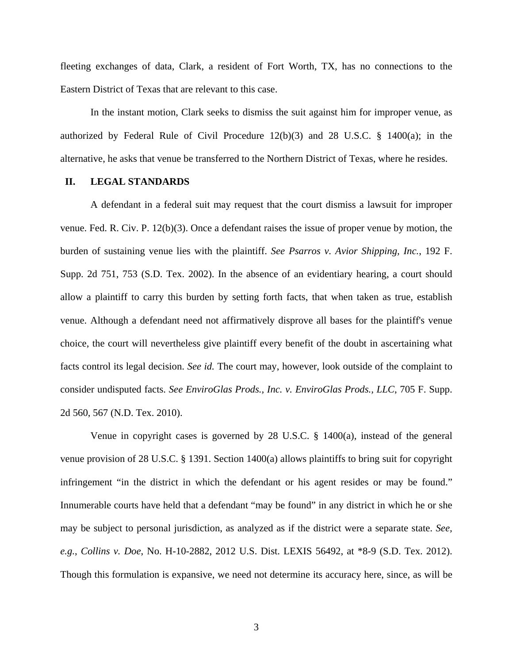fleeting exchanges of data, Clark, a resident of Fort Worth, TX, has no connections to the Eastern District of Texas that are relevant to this case.

In the instant motion, Clark seeks to dismiss the suit against him for improper venue, as authorized by Federal Rule of Civil Procedure 12(b)(3) and 28 U.S.C. § 1400(a); in the alternative, he asks that venue be transferred to the Northern District of Texas, where he resides.

#### **II. LEGAL STANDARDS**

A defendant in a federal suit may request that the court dismiss a lawsuit for improper venue. Fed. R. Civ. P. 12(b)(3). Once a defendant raises the issue of proper venue by motion, the burden of sustaining venue lies with the plaintiff. *See Psarros v. Avior Shipping, Inc.*, 192 F. Supp. 2d 751, 753 (S.D. Tex. 2002). In the absence of an evidentiary hearing, a court should allow a plaintiff to carry this burden by setting forth facts, that when taken as true, establish venue. Although a defendant need not affirmatively disprove all bases for the plaintiff's venue choice, the court will nevertheless give plaintiff every benefit of the doubt in ascertaining what facts control its legal decision. *See id.* The court may, however, look outside of the complaint to consider undisputed facts. *See EnviroGlas Prods., Inc. v. EnviroGlas Prods., LLC*, 705 F. Supp. 2d 560, 567 (N.D. Tex. 2010).

Venue in copyright cases is governed by 28 U.S.C.  $\S$  1400(a), instead of the general venue provision of 28 U.S.C. § 1391. Section 1400(a) allows plaintiffs to bring suit for copyright infringement "in the district in which the defendant or his agent resides or may be found." Innumerable courts have held that a defendant "may be found" in any district in which he or she may be subject to personal jurisdiction, as analyzed as if the district were a separate state. *See, e.g.*, *Collins v. Doe*, No. H-10-2882, 2012 U.S. Dist. LEXIS 56492, at \*8-9 (S.D. Tex. 2012). Though this formulation is expansive, we need not determine its accuracy here, since, as will be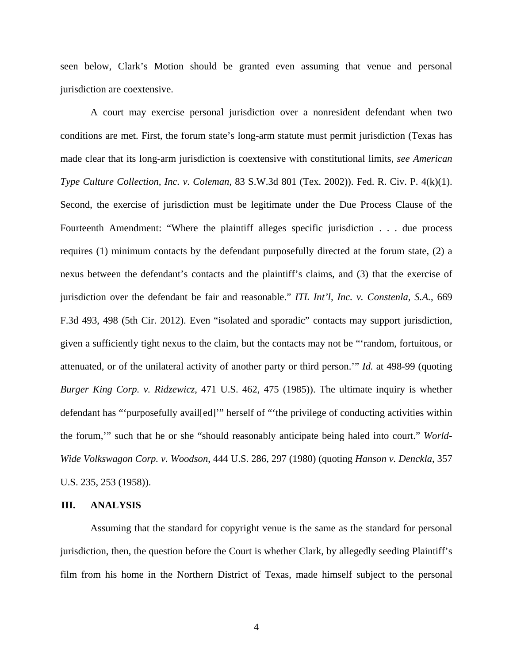seen below, Clark's Motion should be granted even assuming that venue and personal jurisdiction are coextensive.

A court may exercise personal jurisdiction over a nonresident defendant when two conditions are met. First, the forum state's long-arm statute must permit jurisdiction (Texas has made clear that its long-arm jurisdiction is coextensive with constitutional limits, *see American Type Culture Collection, Inc. v. Coleman*, 83 S.W.3d 801 (Tex. 2002)). Fed. R. Civ. P. 4(k)(1). Second, the exercise of jurisdiction must be legitimate under the Due Process Clause of the Fourteenth Amendment: "Where the plaintiff alleges specific jurisdiction . . . due process requires (1) minimum contacts by the defendant purposefully directed at the forum state, (2) a nexus between the defendant's contacts and the plaintiff's claims, and (3) that the exercise of jurisdiction over the defendant be fair and reasonable." *ITL Int'l, Inc. v. Constenla, S.A.*, 669 F.3d 493, 498 (5th Cir. 2012). Even "isolated and sporadic" contacts may support jurisdiction, given a sufficiently tight nexus to the claim, but the contacts may not be "'random, fortuitous, or attenuated, or of the unilateral activity of another party or third person.'" *Id.* at 498-99 (quoting *Burger King Corp. v. Ridzewicz*, 471 U.S. 462, 475 (1985)). The ultimate inquiry is whether defendant has "'purposefully avail[ed]'" herself of "'the privilege of conducting activities within the forum,'" such that he or she "should reasonably anticipate being haled into court." *World-Wide Volkswagon Corp. v. Woodson*, 444 U.S. 286, 297 (1980) (quoting *Hanson v. Denckla*, 357 U.S. 235, 253 (1958)).

#### **III. ANALYSIS**

Assuming that the standard for copyright venue is the same as the standard for personal jurisdiction, then, the question before the Court is whether Clark, by allegedly seeding Plaintiff's film from his home in the Northern District of Texas, made himself subject to the personal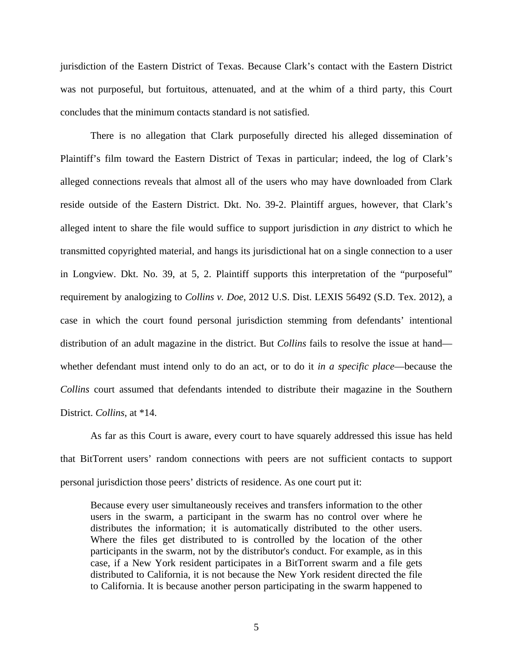jurisdiction of the Eastern District of Texas. Because Clark's contact with the Eastern District was not purposeful, but fortuitous, attenuated, and at the whim of a third party, this Court concludes that the minimum contacts standard is not satisfied.

There is no allegation that Clark purposefully directed his alleged dissemination of Plaintiff's film toward the Eastern District of Texas in particular; indeed, the log of Clark's alleged connections reveals that almost all of the users who may have downloaded from Clark reside outside of the Eastern District. Dkt. No. 39-2. Plaintiff argues, however, that Clark's alleged intent to share the file would suffice to support jurisdiction in *any* district to which he transmitted copyrighted material, and hangs its jurisdictional hat on a single connection to a user in Longview. Dkt. No. 39, at 5, 2. Plaintiff supports this interpretation of the "purposeful" requirement by analogizing to *Collins v. Doe*, 2012 U.S. Dist. LEXIS 56492 (S.D. Tex. 2012), a case in which the court found personal jurisdiction stemming from defendants' intentional distribution of an adult magazine in the district. But *Collins* fails to resolve the issue at hand whether defendant must intend only to do an act, or to do it *in a specific place*—because the *Collins* court assumed that defendants intended to distribute their magazine in the Southern District. *Collins*, at \*14.

As far as this Court is aware, every court to have squarely addressed this issue has held that BitTorrent users' random connections with peers are not sufficient contacts to support personal jurisdiction those peers' districts of residence. As one court put it:

Because every user simultaneously receives and transfers information to the other users in the swarm, a participant in the swarm has no control over where he distributes the information; it is automatically distributed to the other users. Where the files get distributed to is controlled by the location of the other participants in the swarm, not by the distributor's conduct. For example, as in this case, if a New York resident participates in a BitTorrent swarm and a file gets distributed to California, it is not because the New York resident directed the file to California. It is because another person participating in the swarm happened to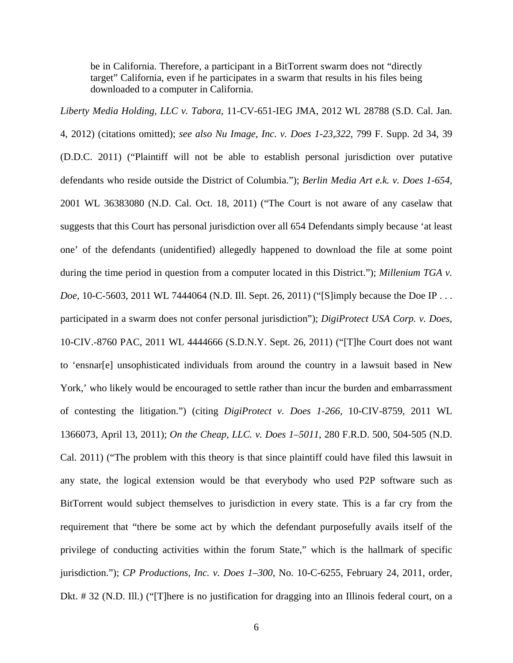be in California. Therefore, a participant in a BitTorrent swarm does not "directly target" California, even if he participates in a swarm that results in his files being downloaded to a computer in California.

*Liberty Media Holding, LLC v. Tabora*, 11-CV-651-IEG JMA, 2012 WL 28788 (S.D. Cal. Jan. 4, 2012) (citations omitted); *see also Nu Image, Inc. v. Does 1-23,322*, 799 F. Supp. 2d 34, 39 (D.D.C. 2011) ("Plaintiff will not be able to establish personal jurisdiction over putative defendants who reside outside the District of Columbia."); *Berlin Media Art e.k. v. Does 1-654*, 2001 WL 36383080 (N.D. Cal. Oct. 18, 2011) ("The Court is not aware of any caselaw that suggests that this Court has personal jurisdiction over all 654 Defendants simply because 'at least one' of the defendants (unidentified) allegedly happened to download the file at some point during the time period in question from a computer located in this District."); *Millenium TGA v. Doe*, 10-C-5603, 2011 WL 7444064 (N.D. Ill. Sept. 26, 2011) ("[S]imply because the Doe IP ... participated in a swarm does not confer personal jurisdiction"); *DigiProtect USA Corp. v. Does*, 10-CIV.-8760 PAC, 2011 WL 4444666 (S.D.N.Y. Sept. 26, 2011) ("[T]he Court does not want to 'ensnar[e] unsophisticated individuals from around the country in a lawsuit based in New York,' who likely would be encouraged to settle rather than incur the burden and embarrassment of contesting the litigation.") (citing *DigiProtect v. Does 1-266*, 10-CIV-8759, 2011 WL 1366073, April 13, 2011); *On the Cheap, LLC. v. Does 1–5011*, 280 F.R.D. 500, 504-505 (N.D. Cal. 2011) ("The problem with this theory is that since plaintiff could have filed this lawsuit in any state, the logical extension would be that everybody who used P2P software such as BitTorrent would subject themselves to jurisdiction in every state. This is a far cry from the requirement that "there be some act by which the defendant purposefully avails itself of the privilege of conducting activities within the forum State," which is the hallmark of specific jurisdiction."); *CP Productions, Inc. v. Does 1–300,* No. 10-C-6255, February 24, 2011, order, Dkt. # 32 (N.D. Ill.) ("[T]here is no justification for dragging into an Illinois federal court, on a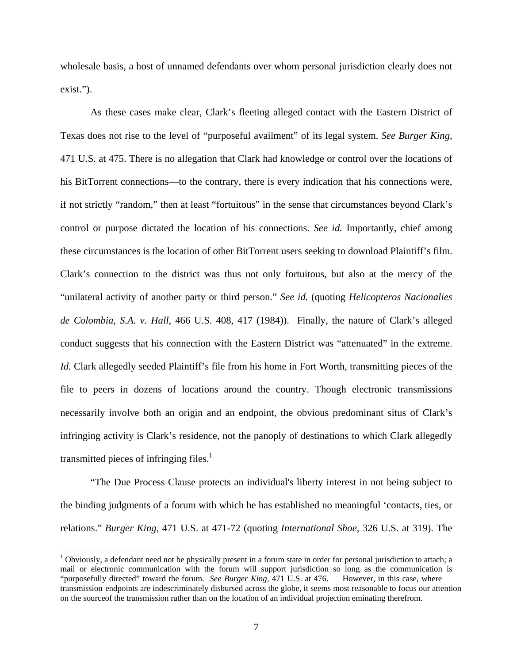wholesale basis, a host of unnamed defendants over whom personal jurisdiction clearly does not exist.").

 As these cases make clear, Clark's fleeting alleged contact with the Eastern District of Texas does not rise to the level of "purposeful availment" of its legal system. *See Burger King*, 471 U.S. at 475. There is no allegation that Clark had knowledge or control over the locations of his BitTorrent connections—to the contrary, there is every indication that his connections were, if not strictly "random," then at least "fortuitous" in the sense that circumstances beyond Clark's control or purpose dictated the location of his connections. *See id.* Importantly, chief among these circumstances is the location of other BitTorrent users seeking to download Plaintiff's film. Clark's connection to the district was thus not only fortuitous, but also at the mercy of the "unilateral activity of another party or third person." *See id.* (quoting *Helicopteros Nacionalies de Colombia, S.A. v. Hall*, 466 U.S. 408, 417 (1984)). Finally, the nature of Clark's alleged conduct suggests that his connection with the Eastern District was "attenuated" in the extreme. *Id.* Clark allegedly seeded Plaintiff's file from his home in Fort Worth, transmitting pieces of the file to peers in dozens of locations around the country. Though electronic transmissions necessarily involve both an origin and an endpoint, the obvious predominant situs of Clark's infringing activity is Clark's residence, not the panoply of destinations to which Clark allegedly transmitted pieces of infringing files. $\frac{1}{1}$ 

 "The Due Process Clause protects an individual's liberty interest in not being subject to the binding judgments of a forum with which he has established no meaningful 'contacts, ties, or relations." *Burger King*, 471 U.S. at 471-72 (quoting *International Shoe*, 326 U.S. at 319). The

<u>.</u>

 $1$  Obviously, a defendant need not be physically present in a forum state in order for personal jurisdiction to attach; a mail or electronic communication with the forum will support jurisdiction so long as the communication is "purposefully directed" toward the forum. *See Burger King*, 471 U.S. at 476. However, in this case, where transmission endpoints are indescriminately disbursed across the globe, it seems most reasonable to focus our attention on the sourceof the transmission rather than on the location of an individual projection eminating therefrom.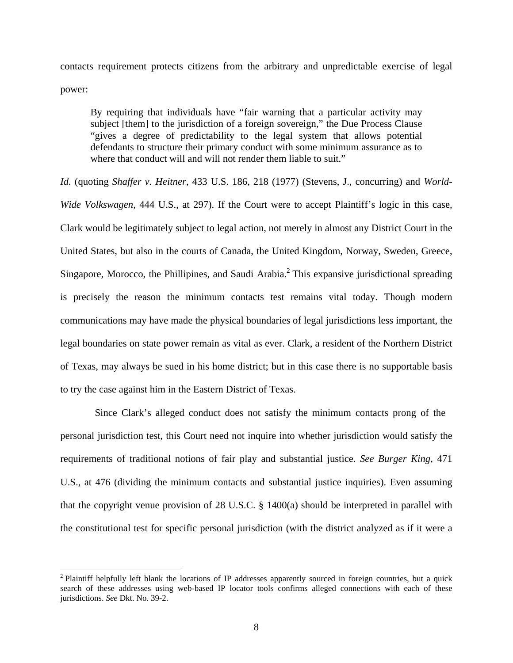contacts requirement protects citizens from the arbitrary and unpredictable exercise of legal power:

By requiring that individuals have "fair warning that a particular activity may subject [them] to the jurisdiction of a foreign sovereign," the Due Process Clause "gives a degree of predictability to the legal system that allows potential defendants to structure their primary conduct with some minimum assurance as to where that conduct will and will not render them liable to suit."

*Id.* (quoting *Shaffer v. Heitner*, 433 U.S. 186, 218 (1977) (Stevens, J., concurring) and *World-Wide Volkswagen*, 444 U.S., at 297). If the Court were to accept Plaintiff's logic in this case, Clark would be legitimately subject to legal action, not merely in almost any District Court in the United States, but also in the courts of Canada, the United Kingdom, Norway, Sweden, Greece, Singapore, Morocco, the Phillipines, and Saudi Arabia. $<sup>2</sup>$  This expansive jurisdictional spreading</sup> is precisely the reason the minimum contacts test remains vital today. Though modern communications may have made the physical boundaries of legal jurisdictions less important, the legal boundaries on state power remain as vital as ever. Clark, a resident of the Northern District of Texas, may always be sued in his home district; but in this case there is no supportable basis to try the case against him in the Eastern District of Texas.

 Since Clark's alleged conduct does not satisfy the minimum contacts prong of the personal jurisdiction test, this Court need not inquire into whether jurisdiction would satisfy the requirements of traditional notions of fair play and substantial justice. *See Burger King*, 471 U.S., at 476 (dividing the minimum contacts and substantial justice inquiries). Even assuming that the copyright venue provision of 28 U.S.C. § 1400(a) should be interpreted in parallel with the constitutional test for specific personal jurisdiction (with the district analyzed as if it were a

<u>.</u>

<sup>&</sup>lt;sup>2</sup> Plaintiff helpfully left blank the locations of IP addresses apparently sourced in foreign countries, but a quick search of these addresses using web-based IP locator tools confirms alleged connections with each of these jurisdictions. *See* Dkt. No. 39-2.